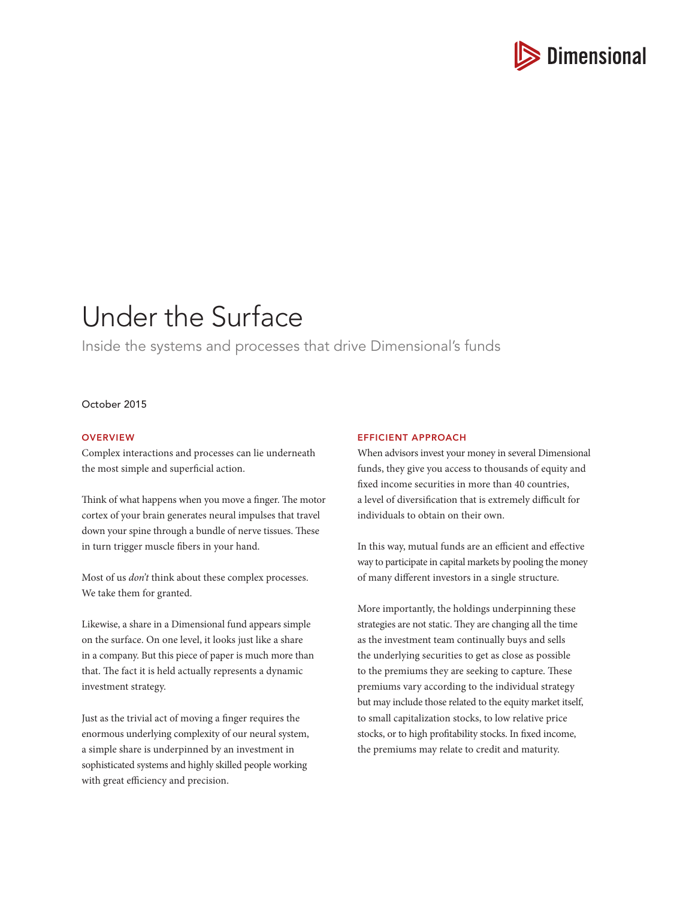

# Under the Surface

Inside the systems and processes that drive Dimensional's funds

# October 2015

### **OVERVIEW**

Complex interactions and processes can lie underneath the most simple and superficial action.

Think of what happens when you move a finger. The motor cortex of your brain generates neural impulses that travel down your spine through a bundle of nerve tissues. These in turn trigger muscle fibers in your hand.

Most of us *don't* think about these complex processes. We take them for granted.

Likewise, a share in a Dimensional fund appears simple on the surface. On one level, it looks just like a share in a company. But this piece of paper is much more than that. The fact it is held actually represents a dynamic investment strategy.

Just as the trivial act of moving a finger requires the enormous underlying complexity of our neural system, a simple share is underpinned by an investment in sophisticated systems and highly skilled people working with great efficiency and precision.

## EFFICIENT APPROACH

When advisors invest your money in several Dimensional funds, they give you access to thousands of equity and fixed income securities in more than 40 countries, a level of diversification that is extremely difficult for individuals to obtain on their own.

In this way, mutual funds are an efficient and effective way to participate in capital markets by pooling the money of many different investors in a single structure.

More importantly, the holdings underpinning these strategies are not static. They are changing all the time as the investment team continually buys and sells the underlying securities to get as close as possible to the premiums they are seeking to capture. These premiums vary according to the individual strategy but may include those related to the equity market itself, to small capitalization stocks, to low relative price stocks, or to high profitability stocks. In fixed income, the premiums may relate to credit and maturity.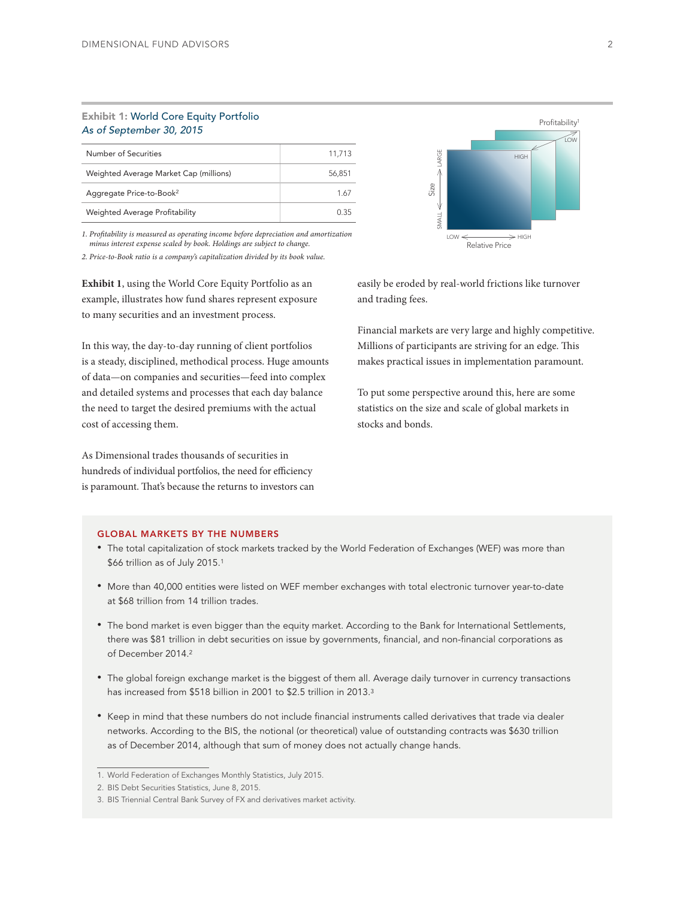## Exhibit 1: World Core Equity Portfolio *As of September 30, 2015*

| Number of Securities                   | 11.713 |
|----------------------------------------|--------|
| Weighted Average Market Cap (millions) | 56.851 |
| Aggregate Price-to-Book <sup>2</sup>   | 1.67   |
| Weighted Average Profitability         | 0.35   |

*1. Profitability is measured as operating income before depreciation and amortization minus interest expense scaled by book. Holdings are subject to change.* 

*2. Price-to-Book ratio is a company's capitalization divided by its book value.*

**Exhibit 1**, using the World Core Equity Portfolio as an example, illustrates how fund shares represent exposure to many securities and an investment process.

In this way, the day-to-day running of client portfolios is a steady, disciplined, methodical process. Huge amounts of data—on companies and securities—feed into complex and detailed systems and processes that each day balance the need to target the desired premiums with the actual cost of accessing them.

As Dimensional trades thousands of securities in hundreds of individual portfolios, the need for efficiency is paramount. That's because the returns to investors can



easily be eroded by real-world frictions like turnover and trading fees.

Financial markets are very large and highly competitive. Millions of participants are striving for an edge. This makes practical issues in implementation paramount.

To put some perspective around this, here are some statistics on the size and scale of global markets in stocks and bonds.

### GLOBAL MARKETS BY THE NUMBERS

- The total capitalization of stock markets tracked by the World Federation of Exchanges (WEF) was more than \$66 trillion as of July 2015.1
- More than 40,000 entities were listed on WEF member exchanges with total electronic turnover year-to-date at \$68 trillion from 14 trillion trades.
- The bond market is even bigger than the equity market. According to the Bank for International Settlements, there was \$81 trillion in debt securities on issue by governments, financial, and non-financial corporations as of December 2014.2
- The global foreign exchange market is the biggest of them all. Average daily turnover in currency transactions has increased from \$518 billion in 2001 to \$2.5 trillion in 2013.<sup>3</sup>
- Keep in mind that these numbers do not include financial instruments called derivatives that trade via dealer networks. According to the BIS, the notional (or theoretical) value of outstanding contracts was \$630 trillion as of December 2014, although that sum of money does not actually change hands.

<sup>1.</sup> World Federation of Exchanges Monthly Statistics, July 2015.

<sup>2.</sup> BIS Debt Securities Statistics, June 8, 2015.

<sup>3.</sup> BIS Triennial Central Bank Survey of FX and derivatives market activity.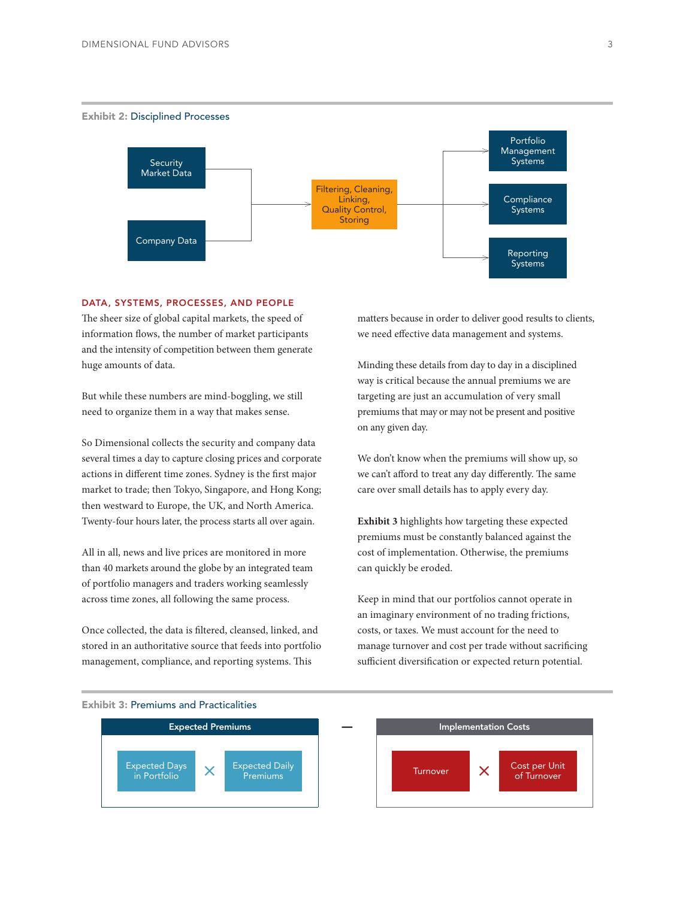

## DATA, SYSTEMS, PROCESSES, AND PEOPLE

The sheer size of global capital markets, the speed of information flows, the number of market participants and the intensity of competition between them generate huge amounts of data.

But while these numbers are mind-boggling, we still need to organize them in a way that makes sense.

So Dimensional collects the security and company data several times a day to capture closing prices and corporate actions in different time zones. Sydney is the first major market to trade; then Tokyo, Singapore, and Hong Kong; then westward to Europe, the UK, and North America. Twenty-four hours later, the process starts all over again.

All in all, news and live prices are monitored in more than 40 markets around the globe by an integrated team of portfolio managers and traders working seamlessly across time zones, all following the same process.

Once collected, the data is filtered, cleansed, linked, and stored in an authoritative source that feeds into portfolio management, compliance, and reporting systems. This

matters because in order to deliver good results to clients, we need effective data management and systems.

Minding these details from day to day in a disciplined way is critical because the annual premiums we are targeting are just an accumulation of very small premiums that may or may not be present and positive on any given day.

We don't know when the premiums will show up, so we can't afford to treat any day differently. The same care over small details has to apply every day.

**Exhibit 3** highlights how targeting these expected premiums must be constantly balanced against the cost of implementation. Otherwise, the premiums can quickly be eroded.

Keep in mind that our portfolios cannot operate in an imaginary environment of no trading frictions, costs, or taxes. We must account for the need to manage turnover and cost per trade without sacrificing sufficient diversification or expected return potential.



## Exhibit 3: Premiums and Practicalities